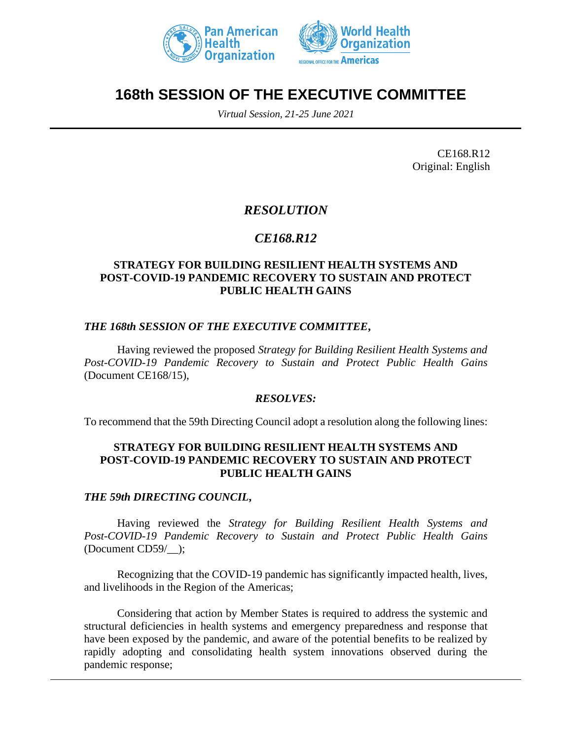



# **168th SESSION OF THE EXECUTIVE COMMITTEE**

*Virtual Session, 21-25 June 2021*

CE168.R12 Original: English

# *RESOLUTION*

# *CE168.R12*

## **STRATEGY FOR BUILDING RESILIENT HEALTH SYSTEMS AND POST-COVID-19 PANDEMIC RECOVERY TO SUSTAIN AND PROTECT PUBLIC HEALTH GAINS**

## *THE 168th SESSION OF THE EXECUTIVE COMMITTEE***,**

Having reviewed the proposed *Strategy for Building Resilient Health Systems and Post-COVID-19 Pandemic Recovery to Sustain and Protect Public Health Gains* (Document CE168/15),

#### *RESOLVES:*

To recommend that the 59th Directing Council adopt a resolution along the following lines:

#### **STRATEGY FOR BUILDING RESILIENT HEALTH SYSTEMS AND POST-COVID-19 PANDEMIC RECOVERY TO SUSTAIN AND PROTECT PUBLIC HEALTH GAINS**

#### *THE 59th DIRECTING COUNCIL***,**

Having reviewed the *Strategy for Building Resilient Health Systems and Post-COVID-19 Pandemic Recovery to Sustain and Protect Public Health Gains*  (Document CD59/\_\_);

Recognizing that the COVID-19 pandemic has significantly impacted health, lives, and livelihoods in the Region of the Americas;

Considering that action by Member States is required to address the systemic and structural deficiencies in health systems and emergency preparedness and response that have been exposed by the pandemic, and aware of the potential benefits to be realized by rapidly adopting and consolidating health system innovations observed during the pandemic response;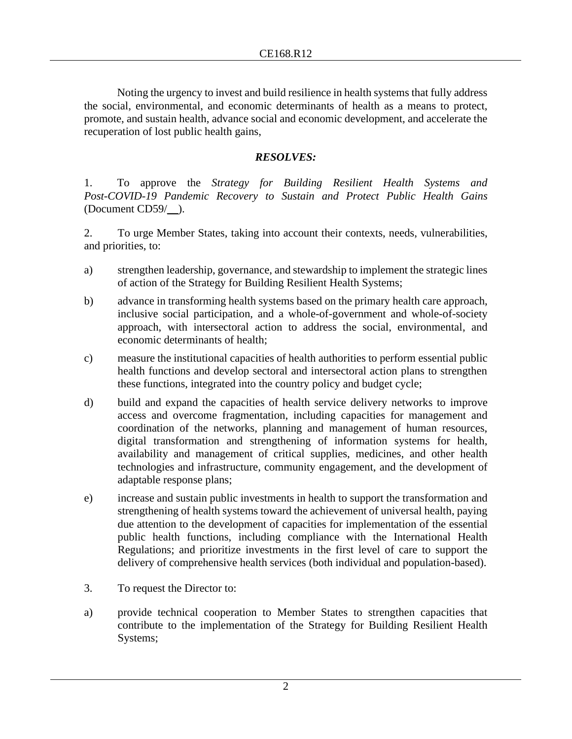Noting the urgency to invest and build resilience in health systems that fully address the social, environmental, and economic determinants of health as a means to protect, promote, and sustain health, advance social and economic development, and accelerate the recuperation of lost public health gains,

## *RESOLVES:*

1. To approve the *Strategy for Building Resilient Health Systems and Post-COVID-19 Pandemic Recovery to Sustain and Protect Public Health Gains*  (Document CD59/\_\_).

2. To urge Member States, taking into account their contexts, needs, vulnerabilities, and priorities, to:

- a) strengthen leadership, governance, and stewardship to implement the strategic lines of action of the Strategy for Building Resilient Health Systems;
- b) advance in transforming health systems based on the primary health care approach, inclusive social participation, and a whole-of-government and whole-of-society approach, with intersectoral action to address the social, environmental, and economic determinants of health;
- c) measure the institutional capacities of health authorities to perform essential public health functions and develop sectoral and intersectoral action plans to strengthen these functions, integrated into the country policy and budget cycle;
- d) build and expand the capacities of health service delivery networks to improve access and overcome fragmentation, including capacities for management and coordination of the networks, planning and management of human resources, digital transformation and strengthening of information systems for health, availability and management of critical supplies, medicines, and other health technologies and infrastructure, community engagement, and the development of adaptable response plans;
- e) increase and sustain public investments in health to support the transformation and strengthening of health systems toward the achievement of universal health, paying due attention to the development of capacities for implementation of the essential public health functions, including compliance with the International Health Regulations; and prioritize investments in the first level of care to support the delivery of comprehensive health services (both individual and population-based).
- 3. To request the Director to:
- a) provide technical cooperation to Member States to strengthen capacities that contribute to the implementation of the Strategy for Building Resilient Health Systems;